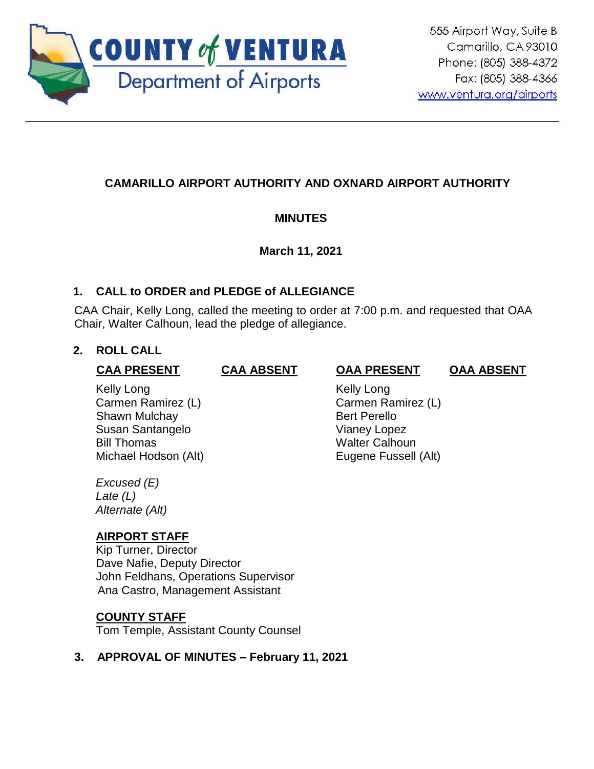

# **CAMARILLO AIRPORT AUTHORITY AND OXNARD AIRPORT AUTHORITY**

## **MINUTES**

## **March 11, 2021**

## **1. CALL to ORDER and PLEDGE of ALLEGIANCE**

CAA Chair, Kelly Long, called the meeting to order at 7:00 p.m. and requested that OAA Chair, Walter Calhoun, lead the pledge of allegiance.

## **2. ROLL CALL**

#### **CAA PRESENT CAA ABSENT OAA PRESENT OAA ABSENT**

#### Kelly Long Carmen Ramirez (L) Shawn Mulchay **Bert Perello** Susan Santangelo Vianey Lopez Bill Thomas Walter Calhoun Michael Hodson (Alt) **Eugene Fussell** (Alt)

 Kelly Long Carmen Ramirez (L)

*Excused (E) Late (L) Alternate (Alt)*

## **AIRPORT STAFF**

Kip Turner, Director Dave Nafie, Deputy Director John Feldhans, Operations Supervisor Ana Castro, Management Assistant

## **COUNTY STAFF**

Tom Temple, Assistant County Counsel

## **3. APPROVAL OF MINUTES – February 11, 2021**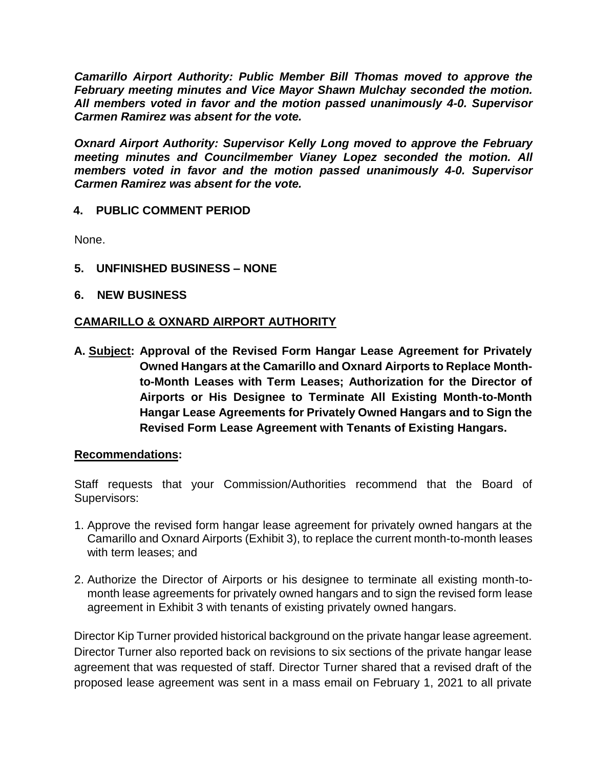*Camarillo Airport Authority: Public Member Bill Thomas moved to approve the February meeting minutes and Vice Mayor Shawn Mulchay seconded the motion. All members voted in favor and the motion passed unanimously 4-0. Supervisor Carmen Ramirez was absent for the vote.*

*Oxnard Airport Authority: Supervisor Kelly Long moved to approve the February meeting minutes and Councilmember Vianey Lopez seconded the motion. All members voted in favor and the motion passed unanimously 4-0. Supervisor Carmen Ramirez was absent for the vote.*

### **4. PUBLIC COMMENT PERIOD**

None.

- **5. UNFINISHED BUSINESS – NONE**
- **6. NEW BUSINESS**

#### **CAMARILLO & OXNARD AIRPORT AUTHORITY**

**A. Subject: Approval of the Revised Form Hangar Lease Agreement for Privately Owned Hangars at the Camarillo and Oxnard Airports to Replace Monthto-Month Leases with Term Leases; Authorization for the Director of Airports or His Designee to Terminate All Existing Month-to-Month Hangar Lease Agreements for Privately Owned Hangars and to Sign the Revised Form Lease Agreement with Tenants of Existing Hangars.**

#### **Recommendations:**

Staff requests that your Commission/Authorities recommend that the Board of Supervisors:

- 1. Approve the revised form hangar lease agreement for privately owned hangars at the Camarillo and Oxnard Airports (Exhibit 3), to replace the current month-to-month leases with term leases; and
- 2. Authorize the Director of Airports or his designee to terminate all existing month-tomonth lease agreements for privately owned hangars and to sign the revised form lease agreement in Exhibit 3 with tenants of existing privately owned hangars.

Director Kip Turner provided historical background on the private hangar lease agreement. Director Turner also reported back on revisions to six sections of the private hangar lease agreement that was requested of staff. Director Turner shared that a revised draft of the proposed lease agreement was sent in a mass email on February 1, 2021 to all private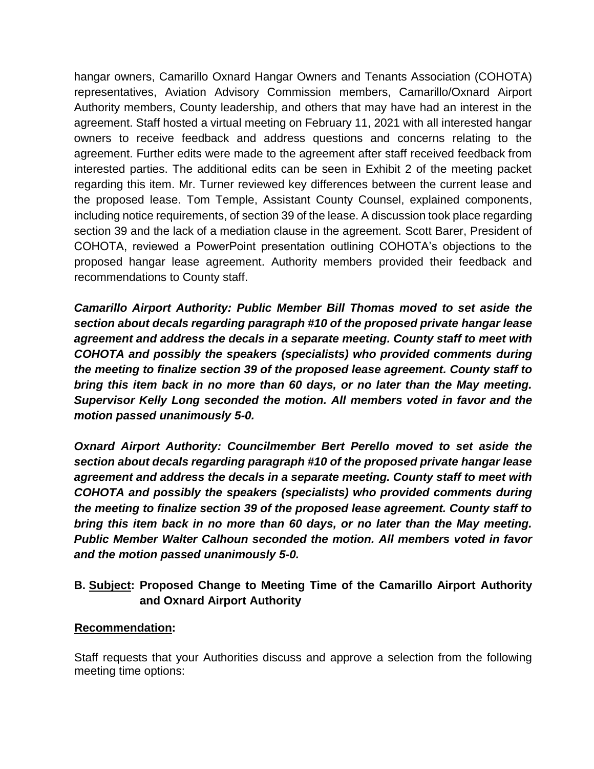hangar owners, Camarillo Oxnard Hangar Owners and Tenants Association (COHOTA) representatives, Aviation Advisory Commission members, Camarillo/Oxnard Airport Authority members, County leadership, and others that may have had an interest in the agreement. Staff hosted a virtual meeting on February 11, 2021 with all interested hangar owners to receive feedback and address questions and concerns relating to the agreement. Further edits were made to the agreement after staff received feedback from interested parties. The additional edits can be seen in Exhibit 2 of the meeting packet regarding this item. Mr. Turner reviewed key differences between the current lease and the proposed lease. Tom Temple, Assistant County Counsel, explained components, including notice requirements, of section 39 of the lease. A discussion took place regarding section 39 and the lack of a mediation clause in the agreement. Scott Barer, President of COHOTA, reviewed a PowerPoint presentation outlining COHOTA's objections to the proposed hangar lease agreement. Authority members provided their feedback and recommendations to County staff.

*Camarillo Airport Authority: Public Member Bill Thomas moved to set aside the section about decals regarding paragraph #10 of the proposed private hangar lease agreement and address the decals in a separate meeting. County staff to meet with COHOTA and possibly the speakers (specialists) who provided comments during the meeting to finalize section 39 of the proposed lease agreement. County staff to bring this item back in no more than 60 days, or no later than the May meeting. Supervisor Kelly Long seconded the motion. All members voted in favor and the motion passed unanimously 5-0.*

*Oxnard Airport Authority: Councilmember Bert Perello moved to set aside the section about decals regarding paragraph #10 of the proposed private hangar lease agreement and address the decals in a separate meeting. County staff to meet with COHOTA and possibly the speakers (specialists) who provided comments during the meeting to finalize section 39 of the proposed lease agreement. County staff to bring this item back in no more than 60 days, or no later than the May meeting. Public Member Walter Calhoun seconded the motion. All members voted in favor and the motion passed unanimously 5-0.*

## **B. Subject: Proposed Change to Meeting Time of the Camarillo Airport Authority and Oxnard Airport Authority**

## **Recommendation:**

Staff requests that your Authorities discuss and approve a selection from the following meeting time options: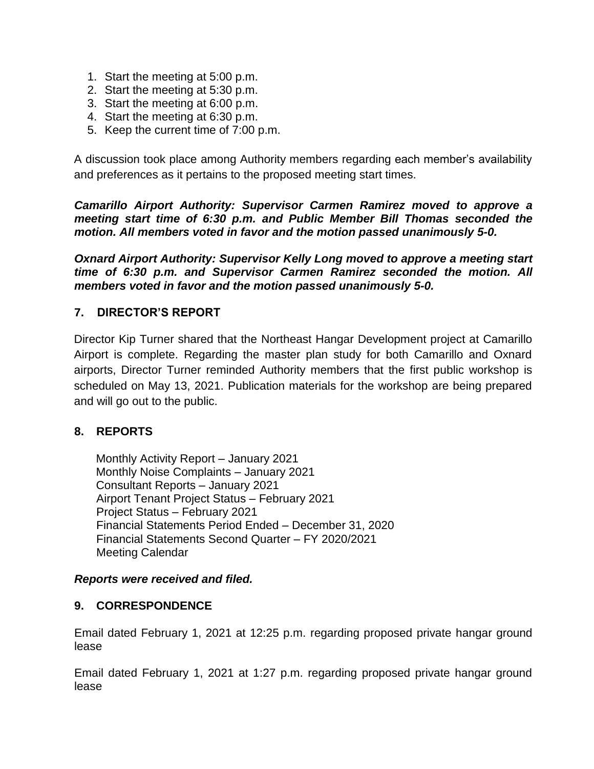- 1. Start the meeting at 5:00 p.m.
- 2. Start the meeting at 5:30 p.m.
- 3. Start the meeting at 6:00 p.m.
- 4. Start the meeting at 6:30 p.m.
- 5. Keep the current time of 7:00 p.m.

A discussion took place among Authority members regarding each member's availability and preferences as it pertains to the proposed meeting start times.

*Camarillo Airport Authority: Supervisor Carmen Ramirez moved to approve a meeting start time of 6:30 p.m. and Public Member Bill Thomas seconded the motion. All members voted in favor and the motion passed unanimously 5-0.*

*Oxnard Airport Authority: Supervisor Kelly Long moved to approve a meeting start time of 6:30 p.m. and Supervisor Carmen Ramirez seconded the motion. All members voted in favor and the motion passed unanimously 5-0.*

## **7. DIRECTOR'S REPORT**

Director Kip Turner shared that the Northeast Hangar Development project at Camarillo Airport is complete. Regarding the master plan study for both Camarillo and Oxnard airports, Director Turner reminded Authority members that the first public workshop is scheduled on May 13, 2021. Publication materials for the workshop are being prepared and will go out to the public.

## **8. REPORTS**

Monthly Activity Report – January 2021 Monthly Noise Complaints – January 2021 Consultant Reports – January 2021 Airport Tenant Project Status – February 2021 Project Status – February 2021 Financial Statements Period Ended – December 31, 2020 Financial Statements Second Quarter – FY 2020/2021 Meeting Calendar

#### *Reports were received and filed.*

## **9. CORRESPONDENCE**

Email dated February 1, 2021 at 12:25 p.m. regarding proposed private hangar ground lease

Email dated February 1, 2021 at 1:27 p.m. regarding proposed private hangar ground lease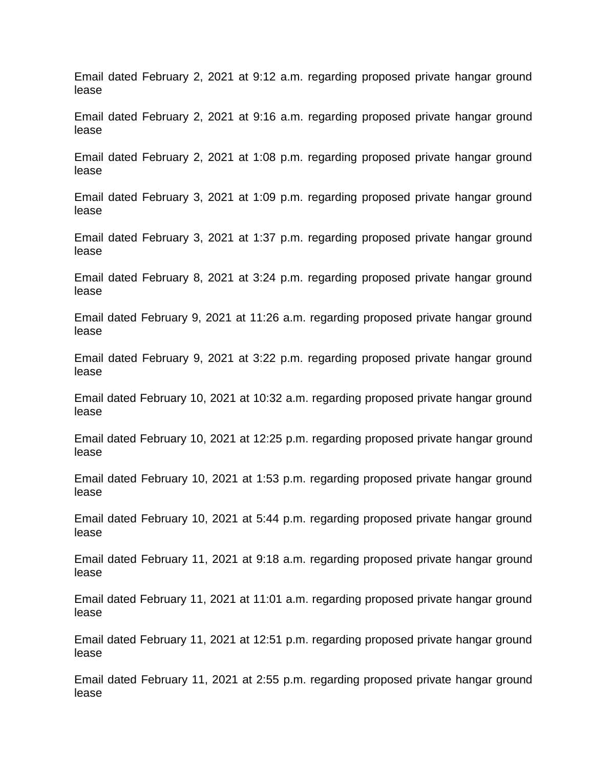Email dated February 2, 2021 at 9:12 a.m. regarding proposed private hangar ground lease

Email dated February 2, 2021 at 9:16 a.m. regarding proposed private hangar ground lease

Email dated February 2, 2021 at 1:08 p.m. regarding proposed private hangar ground lease

Email dated February 3, 2021 at 1:09 p.m. regarding proposed private hangar ground lease

Email dated February 3, 2021 at 1:37 p.m. regarding proposed private hangar ground lease

Email dated February 8, 2021 at 3:24 p.m. regarding proposed private hangar ground lease

Email dated February 9, 2021 at 11:26 a.m. regarding proposed private hangar ground lease

Email dated February 9, 2021 at 3:22 p.m. regarding proposed private hangar ground lease

Email dated February 10, 2021 at 10:32 a.m. regarding proposed private hangar ground lease

Email dated February 10, 2021 at 12:25 p.m. regarding proposed private hangar ground lease

Email dated February 10, 2021 at 1:53 p.m. regarding proposed private hangar ground lease

Email dated February 10, 2021 at 5:44 p.m. regarding proposed private hangar ground lease

Email dated February 11, 2021 at 9:18 a.m. regarding proposed private hangar ground lease

Email dated February 11, 2021 at 11:01 a.m. regarding proposed private hangar ground lease

Email dated February 11, 2021 at 12:51 p.m. regarding proposed private hangar ground lease

Email dated February 11, 2021 at 2:55 p.m. regarding proposed private hangar ground lease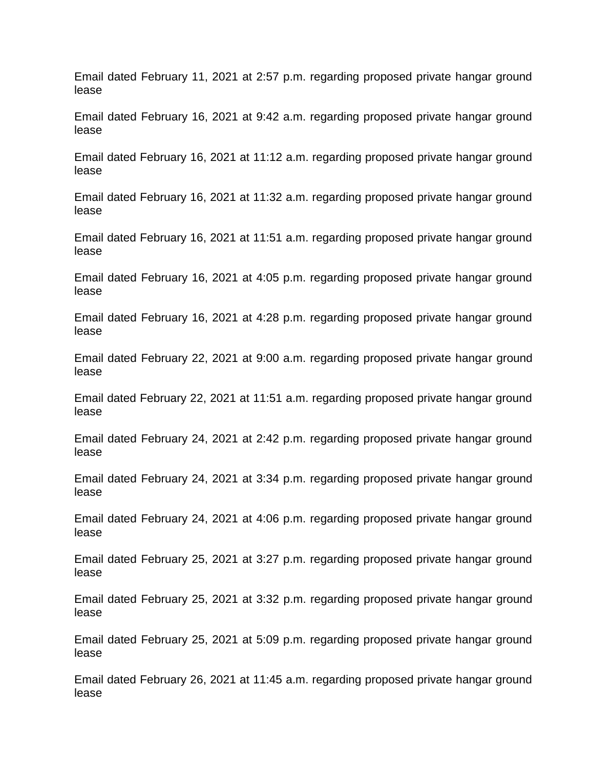Email dated February 11, 2021 at 2:57 p.m. regarding proposed private hangar ground lease

Email dated February 16, 2021 at 9:42 a.m. regarding proposed private hangar ground lease

Email dated February 16, 2021 at 11:12 a.m. regarding proposed private hangar ground lease

Email dated February 16, 2021 at 11:32 a.m. regarding proposed private hangar ground lease

Email dated February 16, 2021 at 11:51 a.m. regarding proposed private hangar ground lease

Email dated February 16, 2021 at 4:05 p.m. regarding proposed private hangar ground lease

Email dated February 16, 2021 at 4:28 p.m. regarding proposed private hangar ground lease

Email dated February 22, 2021 at 9:00 a.m. regarding proposed private hangar ground lease

Email dated February 22, 2021 at 11:51 a.m. regarding proposed private hangar ground lease

Email dated February 24, 2021 at 2:42 p.m. regarding proposed private hangar ground lease

Email dated February 24, 2021 at 3:34 p.m. regarding proposed private hangar ground lease

Email dated February 24, 2021 at 4:06 p.m. regarding proposed private hangar ground lease

Email dated February 25, 2021 at 3:27 p.m. regarding proposed private hangar ground lease

Email dated February 25, 2021 at 3:32 p.m. regarding proposed private hangar ground lease

Email dated February 25, 2021 at 5:09 p.m. regarding proposed private hangar ground lease

Email dated February 26, 2021 at 11:45 a.m. regarding proposed private hangar ground lease